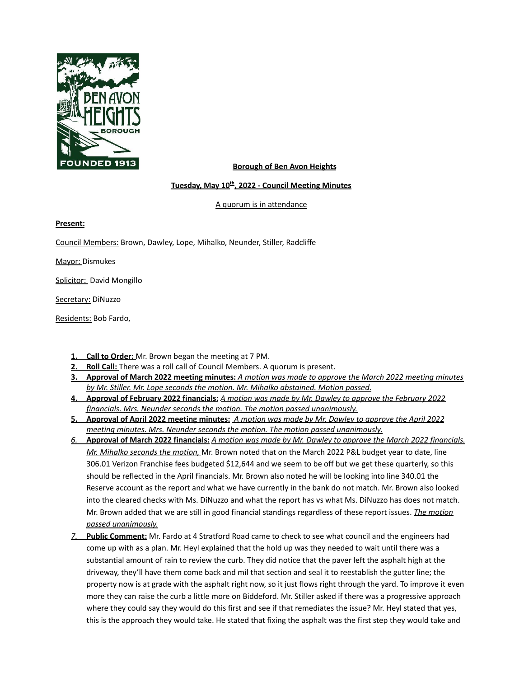

#### **Borough of Ben Avon Heights**

#### **Tuesday, May 10 th , 2022 - Council Meeting Minutes**

A quorum is in attendance

**Present:**

Council Members: Brown, Dawley, Lope, Mihalko, Neunder, Stiller, Radcliffe

Mayor: Dismukes

Solicitor: David Mongillo

Secretary: DiNuzzo

Residents: Bob Fardo,

- **1. Call to Order:** Mr. Brown began the meeting at 7 PM.
- **2. Roll Call:** There was a roll call of Council Members. A quorum is present.
- 3. Approval of March 2022 meeting minutes: A motion was made to approve the March 2022 meeting minutes *by Mr. Stiller. Mr. Lope seconds the motion. Mr. Mihalko abstained. Motion passed.*
- 4. Approval of February 2022 financials: A motion was made by Mr. Dawley to approve the February 2022 *financials. Mrs. Neunder seconds the motion. The motion passed unanimously.*
- 5. Approval of April 2022 meeting minutes: A motion was made by Mr. Dawley to approve the April 2022 *meeting minutes. Mrs. Neunder seconds the motion. The motion passed unanimously.*
- 6. Approval of March 2022 financials: A motion was made by Mr. Dawley to approve the March 2022 financials. *Mr. Mihalko seconds the motion,* Mr. Brown noted that on the March 2022 P&L budget year to date, line 306.01 Verizon Franchise fees budgeted \$12,644 and we seem to be off but we get these quarterly, so this should be reflected in the April financials. Mr. Brown also noted he will be looking into line 340.01 the Reserve account as the report and what we have currently in the bank do not match. Mr. Brown also looked into the cleared checks with Ms. DiNuzzo and what the report has vs what Ms. DiNuzzo has does not match. Mr. Brown added that we are still in good financial standings regardless of these report issues. *The motion passed unanimously.*
- *7.* **Public Comment:** Mr. Fardo at 4 Stratford Road came to check to see what council and the engineers had come up with as a plan. Mr. Heyl explained that the hold up was they needed to wait until there was a substantial amount of rain to review the curb. They did notice that the paver left the asphalt high at the driveway, they'll have them come back and mil that section and seal it to reestablish the gutter line; the property now is at grade with the asphalt right now, so it just flows right through the yard. To improve it even more they can raise the curb a little more on Biddeford. Mr. Stiller asked if there was a progressive approach where they could say they would do this first and see if that remediates the issue? Mr. Heyl stated that yes, this is the approach they would take. He stated that fixing the asphalt was the first step they would take and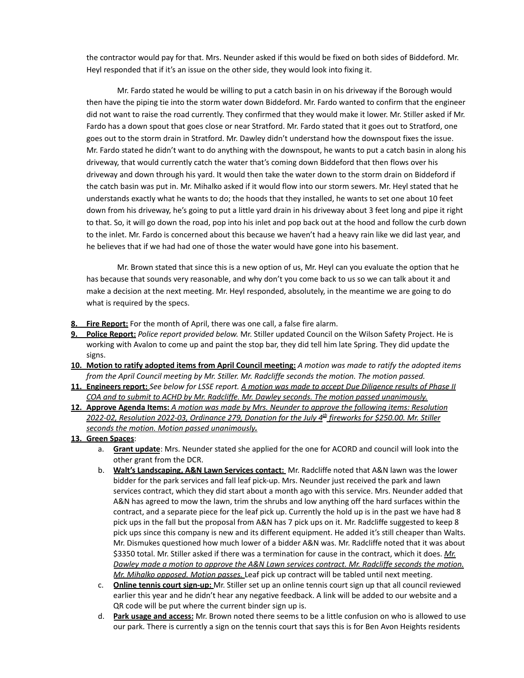the contractor would pay for that. Mrs. Neunder asked if this would be fixed on both sides of Biddeford. Mr. Heyl responded that if it's an issue on the other side, they would look into fixing it.

Mr. Fardo stated he would be willing to put a catch basin in on his driveway if the Borough would then have the piping tie into the storm water down Biddeford. Mr. Fardo wanted to confirm that the engineer did not want to raise the road currently. They confirmed that they would make it lower. Mr. Stiller asked if Mr. Fardo has a down spout that goes close or near Stratford. Mr. Fardo stated that it goes out to Stratford, one goes out to the storm drain in Stratford. Mr. Dawley didn't understand how the downspout fixes the issue. Mr. Fardo stated he didn't want to do anything with the downspout, he wants to put a catch basin in along his driveway, that would currently catch the water that's coming down Biddeford that then flows over his driveway and down through his yard. It would then take the water down to the storm drain on Biddeford if the catch basin was put in. Mr. Mihalko asked if it would flow into our storm sewers. Mr. Heyl stated that he understands exactly what he wants to do; the hoods that they installed, he wants to set one about 10 feet down from his driveway, he's going to put a little yard drain in his driveway about 3 feet long and pipe it right to that. So, it will go down the road, pop into his inlet and pop back out at the hood and follow the curb down to the inlet. Mr. Fardo is concerned about this because we haven't had a heavy rain like we did last year, and he believes that if we had had one of those the water would have gone into his basement.

Mr. Brown stated that since this is a new option of us, Mr. Heyl can you evaluate the option that he has because that sounds very reasonable, and why don't you come back to us so we can talk about it and make a decision at the next meeting. Mr. Heyl responded, absolutely, in the meantime we are going to do what is required by the specs.

- **Fire Report:** For the month of April, there was one call, a false fire alarm.
- **9. Police Report:** *Police report provided below.* Mr. Stiller updated Council on the Wilson Safety Project. He is working with Avalon to come up and paint the stop bar, they did tell him late Spring. They did update the signs.
- 10. Motion to ratify adopted items from April Council meeting: A motion was made to ratify the adopted items *from the April Council meeting by Mr. Stiller. Mr. Radcliffe seconds the motion. The motion passed.*
- 11. Engineers report: See below for LSSE report. A motion was made to accept Due Diliaence results of Phase II *COA and to submit to ACHD by Mr. Radcliffe. Mr. Dawley seconds. The motion passed unanimously.*
- **12. Approve Agenda Items:** *A motion was made by Mrs. Neunder to approve the following items: Resolution 2022-02, Resolution 2022-03, Ordinance 279, Donation for the July 4 th fireworks for \$250.00. Mr. Stiller seconds the motion. Motion passed unanimously.*

#### **13. Green Spaces**:

- a. **Grant update**: Mrs. Neunder stated she applied for the one for ACORD and council will look into the other grant from the DCR.
- b. **Walt's Landscaping, A&N Lawn Services contact:** Mr. Radcliffe noted that A&N lawn was the lower bidder for the park services and fall leaf pick-up. Mrs. Neunder just received the park and lawn services contract, which they did start about a month ago with this service. Mrs. Neunder added that A&N has agreed to mow the lawn, trim the shrubs and low anything off the hard surfaces within the contract, and a separate piece for the leaf pick up. Currently the hold up is in the past we have had 8 pick ups in the fall but the proposal from A&N has 7 pick ups on it. Mr. Radcliffe suggested to keep 8 pick ups since this company is new and its different equipment. He added it's still cheaper than Walts. Mr. Dismukes questioned how much lower of a bidder A&N was. Mr. Radcliffe noted that it was about \$3350 total. Mr. Stiller asked if there was a termination for cause in the contract, which it does. *Mr. Dawley made a motion to approve the A&N Lawn services contract. Mr. Radcliffe seconds the motion. Mr. Mihalko opposed. Motion passes.* Leaf pick up contract will be tabled until next meeting.
- c. **Online tennis court sign-up:** Mr. Stiller set up an online tennis court sign up that all council reviewed earlier this year and he didn't hear any negative feedback. A link will be added to our website and a QR code will be put where the current binder sign up is.
- d. **Park usage and access:** Mr. Brown noted there seems to be a little confusion on who is allowed to use our park. There is currently a sign on the tennis court that says this is for Ben Avon Heights residents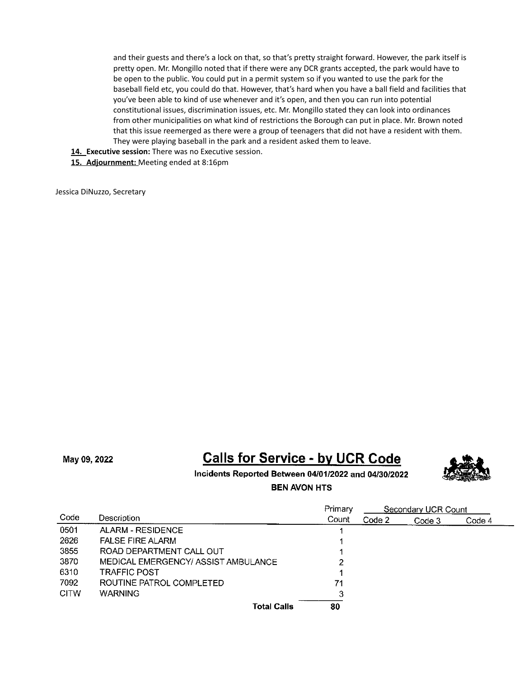and their guests and there's a lock on that, so that's pretty straight forward. However, the park itself is pretty open. Mr. Mongillo noted that if there were any DCR grants accepted, the park would have to be open to the public. You could put in a permit system so if you wanted to use the park for the baseball field etc, you could do that. However, that's hard when you have a ball field and facilities that you've been able to kind of use whenever and it's open, and then you can run into potential constitutional issues, discrimination issues, etc. Mr. Mongillo stated they can look into ordinances from other municipalities on what kind of restrictions the Borough can put in place. Mr. Brown noted that this issue reemerged as there were a group of teenagers that did not have a resident with them. They were playing baseball in the park and a resident asked them to leave.

**14. Executive session:** There was no Executive session.

**15. Adjournment:** Meeting ended at 8:16pm

Jessica DiNuzzo, Secretary

May 09, 2022

# **Calls for Service - by UCR Code**



Incidents Reported Between 04/01/2022 and 04/30/2022

**BEN AVON HTS** 

|             |                                     | Primary | Secondary UCR Count |        |        |
|-------------|-------------------------------------|---------|---------------------|--------|--------|
| Code        | Description                         | Count   | Code 2              | Code 3 | Code 4 |
| 0501        | <b>ALARM - RESIDENCE</b>            |         |                     |        |        |
| 2626        | <b>FALSE FIRE ALARM</b>             |         |                     |        |        |
| 3855        | ROAD DEPARTMENT CALL OUT            |         |                     |        |        |
| 3870        | MEDICAL EMERGENCY/ ASSIST AMBULANCE | 2       |                     |        |        |
| 6310        | <b>TRAFFIC POST</b>                 |         |                     |        |        |
| 7092        | ROUTINE PATROL COMPLETED            | 71      |                     |        |        |
| <b>CITW</b> | <b>WARNING</b>                      | 3       |                     |        |        |
|             | <b>Total Calls</b>                  | 80      |                     |        |        |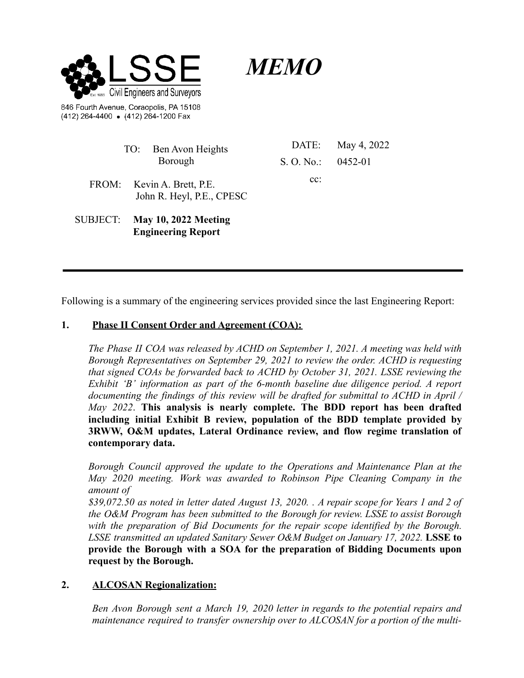

(412) 264-4400 • (412) 264-1200 Fax

*MEMO*

|          | TO: Ben Avon Heights                                     |                       | DATE: May 4, 2022 |
|----------|----------------------------------------------------------|-----------------------|-------------------|
|          | Borough                                                  | S. O. No.: $0.452-01$ |                   |
|          | FROM: Kevin A. Brett, P.E.<br>John R. Heyl, P.E., CPESC  | $cc$ :                |                   |
| SUBJECT: | <b>May 10, 2022 Meeting</b><br><b>Engineering Report</b> |                       |                   |

Following is a summary of the engineering services provided since the last Engineering Report:

# **1. Phase II Consent Order and Agreement (COA):**

*The Phase II COA was released by ACHD on September 1, 2021. A meeting was held with Borough Representatives on September 29, 2021 to review the order. ACHD is requesting that signed COAs be forwarded back to ACHD by October 31, 2021. LSSE reviewing the Exhibit 'B' information as part of the 6-month baseline due diligence period. A report documenting the findings of this review will be drafted for submittal to ACHD in April / May 2022*. **This analysis is nearly complete. The BDD report has been drafted including initial Exhibit B review, population of the BDD template provided by 3RWW, O&M updates, Lateral Ordinance review, and flow regime translation of contemporary data.**

*Borough Council approved the update to the Operations and Maintenance Plan at the May 2020 meeting. Work was awarded to Robinson Pipe Cleaning Company in the amount of*

*\$39,072.50 as noted in letter dated August 13, 2020. . A repair scope for Years 1 and 2 of the O&M Program has been submitted to the Borough for review. LSSE to assist Borough with the preparation of Bid Documents for the repair scope identified by the Borough. LSSE transmitted an updated Sanitary Sewer O&M Budget on January 17, 2022.* **LSSE to provide the Borough with a SOA for the preparation of Bidding Documents upon request by the Borough.**

### **2. ALCOSAN Regionalization:**

*Ben Avon Borough sent a March 19, 2020 letter in regards to the potential repairs and maintenance required to transfer ownership over to ALCOSAN for a portion of the multi-*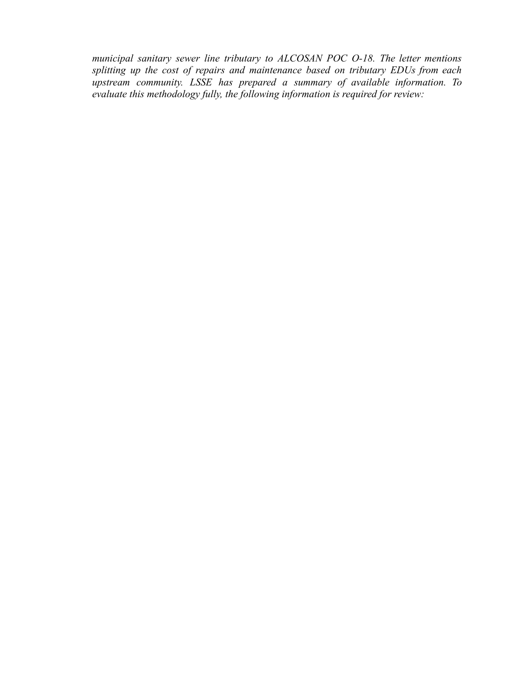*municipal sanitary sewer line tributary to ALCOSAN POC O-18. The letter mentions splitting up the cost of repairs and maintenance based on tributary EDUs from each upstream community. LSSE has prepared a summary of available information. To evaluate this methodology fully, the following information is required for review:*